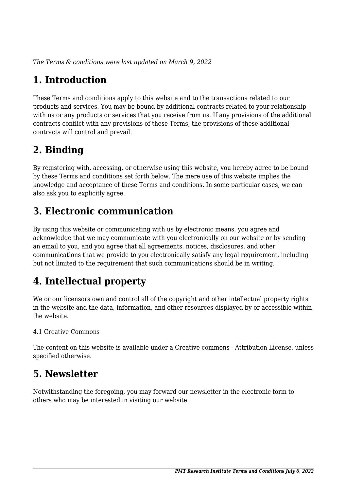*The Terms & conditions were last updated on March 9, 2022*

# **1. Introduction**

These Terms and conditions apply to this website and to the transactions related to our products and services. You may be bound by additional contracts related to your relationship with us or any products or services that you receive from us. If any provisions of the additional contracts conflict with any provisions of these Terms, the provisions of these additional contracts will control and prevail.

## **2. Binding**

By registering with, accessing, or otherwise using this website, you hereby agree to be bound by these Terms and conditions set forth below. The mere use of this website implies the knowledge and acceptance of these Terms and conditions. In some particular cases, we can also ask you to explicitly agree.

## **3. Electronic communication**

By using this website or communicating with us by electronic means, you agree and acknowledge that we may communicate with you electronically on our website or by sending an email to you, and you agree that all agreements, notices, disclosures, and other communications that we provide to you electronically satisfy any legal requirement, including but not limited to the requirement that such communications should be in writing.

# **4. Intellectual property**

We or our licensors own and control all of the copyright and other intellectual property rights in the website and the data, information, and other resources displayed by or accessible within the website.

#### 4.1 Creative Commons

The content on this website is available under a Creative commons - Attribution License, unless specified otherwise.

## **5. Newsletter**

Notwithstanding the foregoing, you may forward our newsletter in the electronic form to others who may be interested in visiting our website.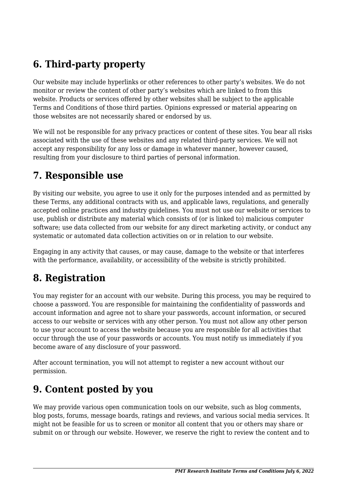# **6. Third-party property**

Our website may include hyperlinks or other references to other party's websites. We do not monitor or review the content of other party's websites which are linked to from this website. Products or services offered by other websites shall be subject to the applicable Terms and Conditions of those third parties. Opinions expressed or material appearing on those websites are not necessarily shared or endorsed by us.

We will not be responsible for any privacy practices or content of these sites. You bear all risks associated with the use of these websites and any related third-party services. We will not accept any responsibility for any loss or damage in whatever manner, however caused, resulting from your disclosure to third parties of personal information.

#### **7. Responsible use**

By visiting our website, you agree to use it only for the purposes intended and as permitted by these Terms, any additional contracts with us, and applicable laws, regulations, and generally accepted online practices and industry guidelines. You must not use our website or services to use, publish or distribute any material which consists of (or is linked to) malicious computer software; use data collected from our website for any direct marketing activity, or conduct any systematic or automated data collection activities on or in relation to our website.

Engaging in any activity that causes, or may cause, damage to the website or that interferes with the performance, availability, or accessibility of the website is strictly prohibited.

## **8. Registration**

You may register for an account with our website. During this process, you may be required to choose a password. You are responsible for maintaining the confidentiality of passwords and account information and agree not to share your passwords, account information, or secured access to our website or services with any other person. You must not allow any other person to use your account to access the website because you are responsible for all activities that occur through the use of your passwords or accounts. You must notify us immediately if you become aware of any disclosure of your password.

After account termination, you will not attempt to register a new account without our permission.

## **9. Content posted by you**

We may provide various open communication tools on our website, such as blog comments, blog posts, forums, message boards, ratings and reviews, and various social media services. It might not be feasible for us to screen or monitor all content that you or others may share or submit on or through our website. However, we reserve the right to review the content and to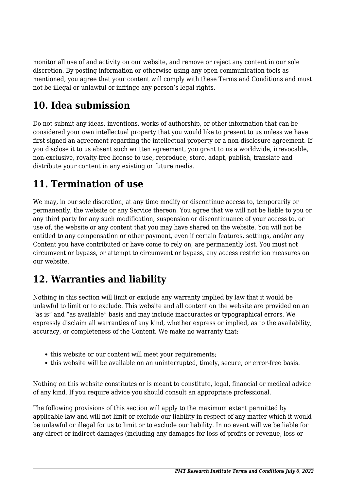monitor all use of and activity on our website, and remove or reject any content in our sole discretion. By posting information or otherwise using any open communication tools as mentioned, you agree that your content will comply with these Terms and Conditions and must not be illegal or unlawful or infringe any person's legal rights.

# **10. Idea submission**

Do not submit any ideas, inventions, works of authorship, or other information that can be considered your own intellectual property that you would like to present to us unless we have first signed an agreement regarding the intellectual property or a non-disclosure agreement. If you disclose it to us absent such written agreement, you grant to us a worldwide, irrevocable, non-exclusive, royalty-free license to use, reproduce, store, adapt, publish, translate and distribute your content in any existing or future media.

## **11. Termination of use**

We may, in our sole discretion, at any time modify or discontinue access to, temporarily or permanently, the website or any Service thereon. You agree that we will not be liable to you or any third party for any such modification, suspension or discontinuance of your access to, or use of, the website or any content that you may have shared on the website. You will not be entitled to any compensation or other payment, even if certain features, settings, and/or any Content you have contributed or have come to rely on, are permanently lost. You must not circumvent or bypass, or attempt to circumvent or bypass, any access restriction measures on our website.

## **12. Warranties and liability**

Nothing in this section will limit or exclude any warranty implied by law that it would be unlawful to limit or to exclude. This website and all content on the website are provided on an "as is" and "as available" basis and may include inaccuracies or typographical errors. We expressly disclaim all warranties of any kind, whether express or implied, as to the availability, accuracy, or completeness of the Content. We make no warranty that:

- this website or our content will meet your requirements:
- this website will be available on an uninterrupted, timely, secure, or error-free basis.

Nothing on this website constitutes or is meant to constitute, legal, financial or medical advice of any kind. If you require advice you should consult an appropriate professional.

The following provisions of this section will apply to the maximum extent permitted by applicable law and will not limit or exclude our liability in respect of any matter which it would be unlawful or illegal for us to limit or to exclude our liability. In no event will we be liable for any direct or indirect damages (including any damages for loss of profits or revenue, loss or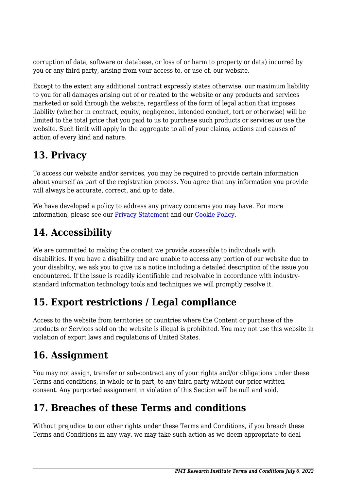corruption of data, software or database, or loss of or harm to property or data) incurred by you or any third party, arising from your access to, or use of, our website.

Except to the extent any additional contract expressly states otherwise, our maximum liability to you for all damages arising out of or related to the website or any products and services marketed or sold through the website, regardless of the form of legal action that imposes liability (whether in contract, equity, negligence, intended conduct, tort or otherwise) will be limited to the total price that you paid to us to purchase such products or services or use the website. Such limit will apply in the aggregate to all of your claims, actions and causes of action of every kind and nature.

# **13. Privacy**

To access our website and/or services, you may be required to provide certain information about yourself as part of the registration process. You agree that any information you provide will always be accurate, correct, and up to date.

We have developed a policy to address any privacy concerns you may have. For more information, please see our Privacy Statement and our [Cookie Policy](https://pmtresearch.org/cookie-policy-us/).

# **14. Accessibility**

We are committed to making the content we provide accessible to individuals with disabilities. If you have a disability and are unable to access any portion of our website due to your disability, we ask you to give us a notice including a detailed description of the issue you encountered. If the issue is readily identifiable and resolvable in accordance with industrystandard information technology tools and techniques we will promptly resolve it.

## **15. Export restrictions / Legal compliance**

Access to the website from territories or countries where the Content or purchase of the products or Services sold on the website is illegal is prohibited. You may not use this website in violation of export laws and regulations of United States.

## **16. Assignment**

You may not assign, transfer or sub-contract any of your rights and/or obligations under these Terms and conditions, in whole or in part, to any third party without our prior written consent. Any purported assignment in violation of this Section will be null and void.

# **17. Breaches of these Terms and conditions**

Without prejudice to our other rights under these Terms and Conditions, if you breach these Terms and Conditions in any way, we may take such action as we deem appropriate to deal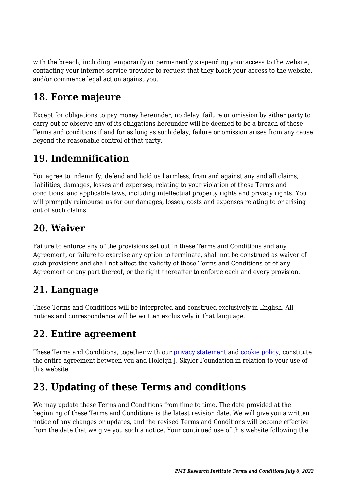with the breach, including temporarily or permanently suspending your access to the website, contacting your internet service provider to request that they block your access to the website, and/or commence legal action against you.

## **18. Force majeure**

Except for obligations to pay money hereunder, no delay, failure or omission by either party to carry out or observe any of its obligations hereunder will be deemed to be a breach of these Terms and conditions if and for as long as such delay, failure or omission arises from any cause beyond the reasonable control of that party.

## **19. Indemnification**

You agree to indemnify, defend and hold us harmless, from and against any and all claims, liabilities, damages, losses and expenses, relating to your violation of these Terms and conditions, and applicable laws, including intellectual property rights and privacy rights. You will promptly reimburse us for our damages, losses, costs and expenses relating to or arising out of such claims.

## **20. Waiver**

Failure to enforce any of the provisions set out in these Terms and Conditions and any Agreement, or failure to exercise any option to terminate, shall not be construed as waiver of such provisions and shall not affect the validity of these Terms and Conditions or of any Agreement or any part thereof, or the right thereafter to enforce each and every provision.

## **21. Language**

These Terms and Conditions will be interpreted and construed exclusively in English. All notices and correspondence will be written exclusively in that language.

## **22. Entire agreement**

These Terms and Conditions, together with our privacy statement and [cookie policy,](https://pmtresearch.org/cookie-policy-us/) constitute the entire agreement between you and Holeigh J. Skyler Foundation in relation to your use of this website.

# **23. Updating of these Terms and conditions**

We may update these Terms and Conditions from time to time. The date provided at the beginning of these Terms and Conditions is the latest revision date. We will give you a written notice of any changes or updates, and the revised Terms and Conditions will become effective from the date that we give you such a notice. Your continued use of this website following the